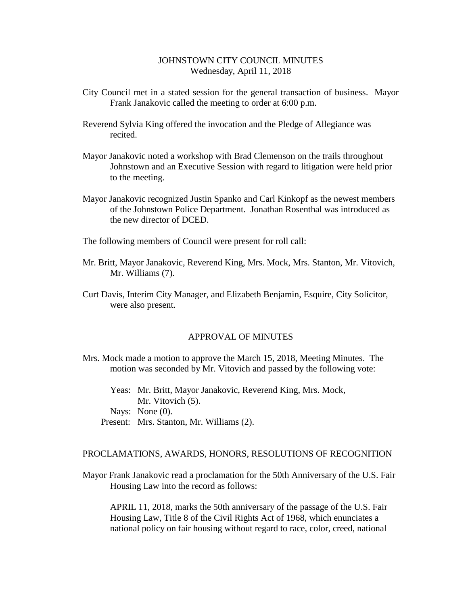## JOHNSTOWN CITY COUNCIL MINUTES Wednesday, April 11, 2018

- City Council met in a stated session for the general transaction of business. Mayor Frank Janakovic called the meeting to order at 6:00 p.m.
- Reverend Sylvia King offered the invocation and the Pledge of Allegiance was recited.
- Mayor Janakovic noted a workshop with Brad Clemenson on the trails throughout Johnstown and an Executive Session with regard to litigation were held prior to the meeting.
- Mayor Janakovic recognized Justin Spanko and Carl Kinkopf as the newest members of the Johnstown Police Department. Jonathan Rosenthal was introduced as the new director of DCED.

The following members of Council were present for roll call:

- Mr. Britt, Mayor Janakovic, Reverend King, Mrs. Mock, Mrs. Stanton, Mr. Vitovich, Mr. Williams (7).
- Curt Davis, Interim City Manager, and Elizabeth Benjamin, Esquire, City Solicitor, were also present.

### APPROVAL OF MINUTES

- Mrs. Mock made a motion to approve the March 15, 2018, Meeting Minutes. The motion was seconded by Mr. Vitovich and passed by the following vote:
	- Yeas: Mr. Britt, Mayor Janakovic, Reverend King, Mrs. Mock, Mr. Vitovich  $(5)$ . Nays: None (0). Present: Mrs. Stanton, Mr. Williams (2).

#### PROCLAMATIONS, AWARDS, HONORS, RESOLUTIONS OF RECOGNITION

Mayor Frank Janakovic read a proclamation for the 50th Anniversary of the U.S. Fair Housing Law into the record as follows:

APRIL 11, 2018, marks the 50th anniversary of the passage of the U.S. Fair Housing Law, Title 8 of the Civil Rights Act of 1968, which enunciates a national policy on fair housing without regard to race, color, creed, national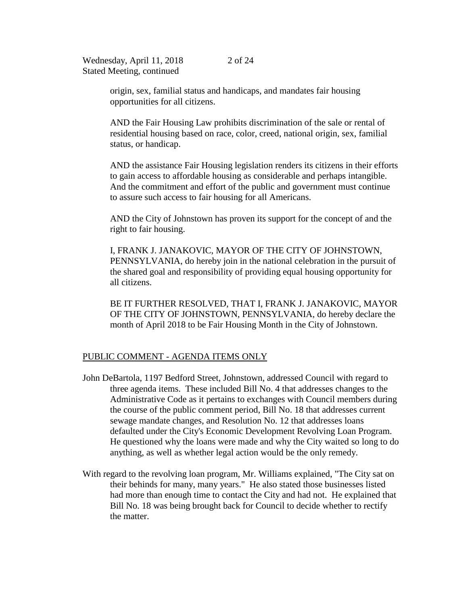origin, sex, familial status and handicaps, and mandates fair housing opportunities for all citizens.

AND the Fair Housing Law prohibits discrimination of the sale or rental of residential housing based on race, color, creed, national origin, sex, familial status, or handicap.

AND the assistance Fair Housing legislation renders its citizens in their efforts to gain access to affordable housing as considerable and perhaps intangible. And the commitment and effort of the public and government must continue to assure such access to fair housing for all Americans.

AND the City of Johnstown has proven its support for the concept of and the right to fair housing.

I, FRANK J. JANAKOVIC, MAYOR OF THE CITY OF JOHNSTOWN, PENNSYLVANIA, do hereby join in the national celebration in the pursuit of the shared goal and responsibility of providing equal housing opportunity for all citizens.

BE IT FURTHER RESOLVED, THAT I, FRANK J. JANAKOVIC, MAYOR OF THE CITY OF JOHNSTOWN, PENNSYLVANIA, do hereby declare the month of April 2018 to be Fair Housing Month in the City of Johnstown.

### PUBLIC COMMENT - AGENDA ITEMS ONLY

- John DeBartola, 1197 Bedford Street, Johnstown, addressed Council with regard to three agenda items. These included Bill No. 4 that addresses changes to the Administrative Code as it pertains to exchanges with Council members during the course of the public comment period, Bill No. 18 that addresses current sewage mandate changes, and Resolution No. 12 that addresses loans defaulted under the City's Economic Development Revolving Loan Program. He questioned why the loans were made and why the City waited so long to do anything, as well as whether legal action would be the only remedy.
- With regard to the revolving loan program, Mr. Williams explained, "The City sat on their behinds for many, many years." He also stated those businesses listed had more than enough time to contact the City and had not. He explained that Bill No. 18 was being brought back for Council to decide whether to rectify the matter.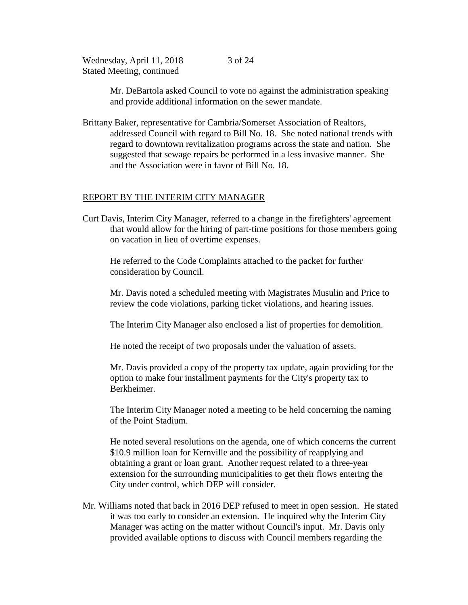3 of 24

Mr. DeBartola asked Council to vote no against the administration speaking and provide additional information on the sewer mandate.

Brittany Baker, representative for Cambria/Somerset Association of Realtors, addressed Council with regard to Bill No. 18. She noted national trends with regard to downtown revitalization programs across the state and nation. She suggested that sewage repairs be performed in a less invasive manner. She and the Association were in favor of Bill No. 18.

## REPORT BY THE INTERIM CITY MANAGER

Curt Davis, Interim City Manager, referred to a change in the firefighters' agreement that would allow for the hiring of part-time positions for those members going on vacation in lieu of overtime expenses.

He referred to the Code Complaints attached to the packet for further consideration by Council.

Mr. Davis noted a scheduled meeting with Magistrates Musulin and Price to review the code violations, parking ticket violations, and hearing issues.

The Interim City Manager also enclosed a list of properties for demolition.

He noted the receipt of two proposals under the valuation of assets.

Mr. Davis provided a copy of the property tax update, again providing for the option to make four installment payments for the City's property tax to Berkheimer.

The Interim City Manager noted a meeting to be held concerning the naming of the Point Stadium.

He noted several resolutions on the agenda, one of which concerns the current \$10.9 million loan for Kernville and the possibility of reapplying and obtaining a grant or loan grant. Another request related to a three-year extension for the surrounding municipalities to get their flows entering the City under control, which DEP will consider.

Mr. Williams noted that back in 2016 DEP refused to meet in open session. He stated it was too early to consider an extension. He inquired why the Interim City Manager was acting on the matter without Council's input. Mr. Davis only provided available options to discuss with Council members regarding the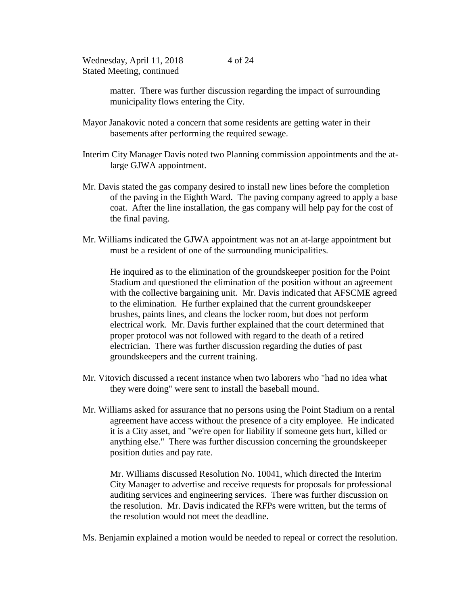matter. There was further discussion regarding the impact of surrounding municipality flows entering the City.

- Mayor Janakovic noted a concern that some residents are getting water in their basements after performing the required sewage.
- Interim City Manager Davis noted two Planning commission appointments and the atlarge GJWA appointment.
- Mr. Davis stated the gas company desired to install new lines before the completion of the paving in the Eighth Ward. The paving company agreed to apply a base coat. After the line installation, the gas company will help pay for the cost of the final paving.
- Mr. Williams indicated the GJWA appointment was not an at-large appointment but must be a resident of one of the surrounding municipalities.

He inquired as to the elimination of the groundskeeper position for the Point Stadium and questioned the elimination of the position without an agreement with the collective bargaining unit. Mr. Davis indicated that AFSCME agreed to the elimination. He further explained that the current groundskeeper brushes, paints lines, and cleans the locker room, but does not perform electrical work. Mr. Davis further explained that the court determined that proper protocol was not followed with regard to the death of a retired electrician. There was further discussion regarding the duties of past groundskeepers and the current training.

- Mr. Vitovich discussed a recent instance when two laborers who "had no idea what they were doing" were sent to install the baseball mound.
- Mr. Williams asked for assurance that no persons using the Point Stadium on a rental agreement have access without the presence of a city employee. He indicated it is a City asset, and "we're open for liability if someone gets hurt, killed or anything else." There was further discussion concerning the groundskeeper position duties and pay rate.

Mr. Williams discussed Resolution No. 10041, which directed the Interim City Manager to advertise and receive requests for proposals for professional auditing services and engineering services. There was further discussion on the resolution. Mr. Davis indicated the RFPs were written, but the terms of the resolution would not meet the deadline.

Ms. Benjamin explained a motion would be needed to repeal or correct the resolution.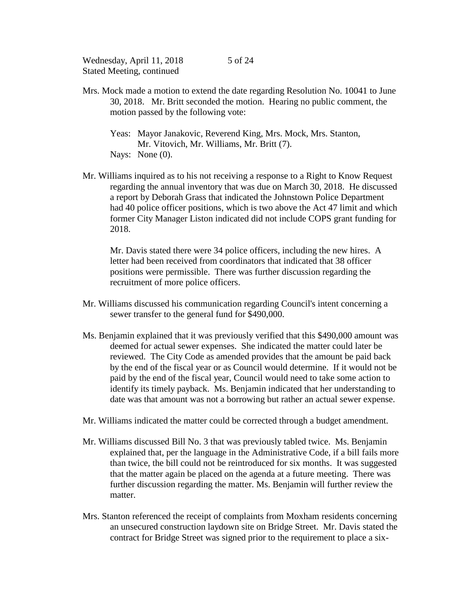- Mrs. Mock made a motion to extend the date regarding Resolution No. 10041 to June 30, 2018. Mr. Britt seconded the motion. Hearing no public comment, the motion passed by the following vote:
	- Yeas: Mayor Janakovic, Reverend King, Mrs. Mock, Mrs. Stanton, Mr. Vitovich, Mr. Williams, Mr. Britt (7). Nays: None  $(0)$ .
- Mr. Williams inquired as to his not receiving a response to a Right to Know Request regarding the annual inventory that was due on March 30, 2018. He discussed a report by Deborah Grass that indicated the Johnstown Police Department had 40 police officer positions, which is two above the Act 47 limit and which former City Manager Liston indicated did not include COPS grant funding for 2018.

Mr. Davis stated there were 34 police officers, including the new hires. A letter had been received from coordinators that indicated that 38 officer positions were permissible. There was further discussion regarding the recruitment of more police officers.

- Mr. Williams discussed his communication regarding Council's intent concerning a sewer transfer to the general fund for \$490,000.
- Ms. Benjamin explained that it was previously verified that this \$490,000 amount was deemed for actual sewer expenses. She indicated the matter could later be reviewed. The City Code as amended provides that the amount be paid back by the end of the fiscal year or as Council would determine. If it would not be paid by the end of the fiscal year, Council would need to take some action to identify its timely payback. Ms. Benjamin indicated that her understanding to date was that amount was not a borrowing but rather an actual sewer expense.
- Mr. Williams indicated the matter could be corrected through a budget amendment.
- Mr. Williams discussed Bill No. 3 that was previously tabled twice. Ms. Benjamin explained that, per the language in the Administrative Code, if a bill fails more than twice, the bill could not be reintroduced for six months. It was suggested that the matter again be placed on the agenda at a future meeting. There was further discussion regarding the matter. Ms. Benjamin will further review the matter.
- Mrs. Stanton referenced the receipt of complaints from Moxham residents concerning an unsecured construction laydown site on Bridge Street. Mr. Davis stated the contract for Bridge Street was signed prior to the requirement to place a six-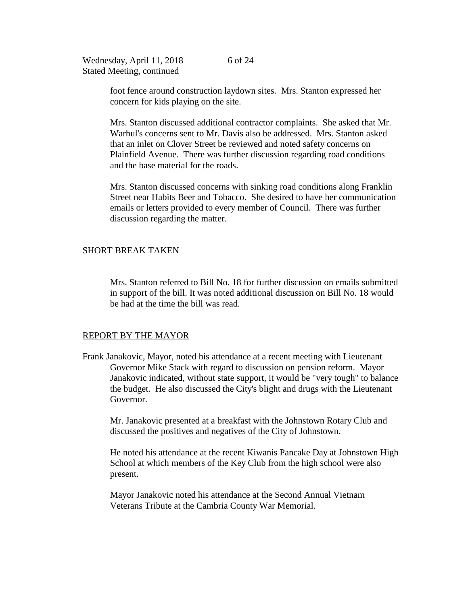foot fence around construction laydown sites. Mrs. Stanton expressed her concern for kids playing on the site.

Mrs. Stanton discussed additional contractor complaints. She asked that Mr. Warhul's concerns sent to Mr. Davis also be addressed. Mrs. Stanton asked that an inlet on Clover Street be reviewed and noted safety concerns on Plainfield Avenue. There was further discussion regarding road conditions and the base material for the roads.

Mrs. Stanton discussed concerns with sinking road conditions along Franklin Street near Habits Beer and Tobacco. She desired to have her communication emails or letters provided to every member of Council. There was further discussion regarding the matter.

### SHORT BREAK TAKEN

Mrs. Stanton referred to Bill No. 18 for further discussion on emails submitted in support of the bill. It was noted additional discussion on Bill No. 18 would be had at the time the bill was read.

### REPORT BY THE MAYOR

Frank Janakovic, Mayor, noted his attendance at a recent meeting with Lieutenant Governor Mike Stack with regard to discussion on pension reform. Mayor Janakovic indicated, without state support, it would be "very tough" to balance the budget. He also discussed the City's blight and drugs with the Lieutenant Governor.

Mr. Janakovic presented at a breakfast with the Johnstown Rotary Club and discussed the positives and negatives of the City of Johnstown.

He noted his attendance at the recent Kiwanis Pancake Day at Johnstown High School at which members of the Key Club from the high school were also present.

Mayor Janakovic noted his attendance at the Second Annual Vietnam Veterans Tribute at the Cambria County War Memorial.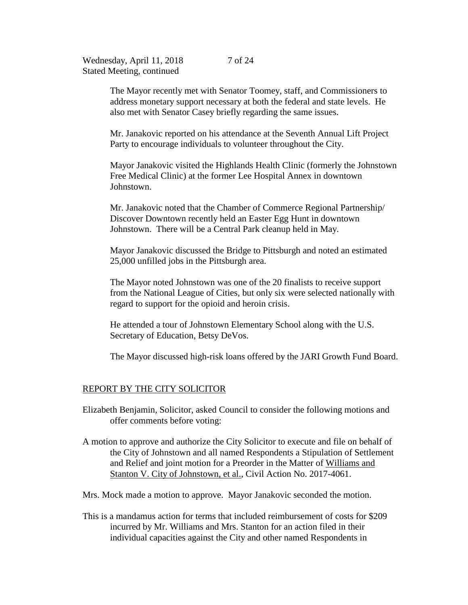The Mayor recently met with Senator Toomey, staff, and Commissioners to address monetary support necessary at both the federal and state levels. He also met with Senator Casey briefly regarding the same issues.

Mr. Janakovic reported on his attendance at the Seventh Annual Lift Project Party to encourage individuals to volunteer throughout the City.

Mayor Janakovic visited the Highlands Health Clinic (formerly the Johnstown Free Medical Clinic) at the former Lee Hospital Annex in downtown Johnstown.

Mr. Janakovic noted that the Chamber of Commerce Regional Partnership/ Discover Downtown recently held an Easter Egg Hunt in downtown Johnstown. There will be a Central Park cleanup held in May.

Mayor Janakovic discussed the Bridge to Pittsburgh and noted an estimated 25,000 unfilled jobs in the Pittsburgh area.

The Mayor noted Johnstown was one of the 20 finalists to receive support from the National League of Cities, but only six were selected nationally with regard to support for the opioid and heroin crisis.

He attended a tour of Johnstown Elementary School along with the U.S. Secretary of Education, Betsy DeVos.

The Mayor discussed high-risk loans offered by the JARI Growth Fund Board.

#### REPORT BY THE CITY SOLICITOR

Elizabeth Benjamin, Solicitor, asked Council to consider the following motions and offer comments before voting:

A motion to approve and authorize the City Solicitor to execute and file on behalf of the City of Johnstown and all named Respondents a Stipulation of Settlement and Relief and joint motion for a Preorder in the Matter of Williams and Stanton V. City of Johnstown, et al., Civil Action No. 2017-4061.

Mrs. Mock made a motion to approve. Mayor Janakovic seconded the motion.

This is a mandamus action for terms that included reimbursement of costs for \$209 incurred by Mr. Williams and Mrs. Stanton for an action filed in their individual capacities against the City and other named Respondents in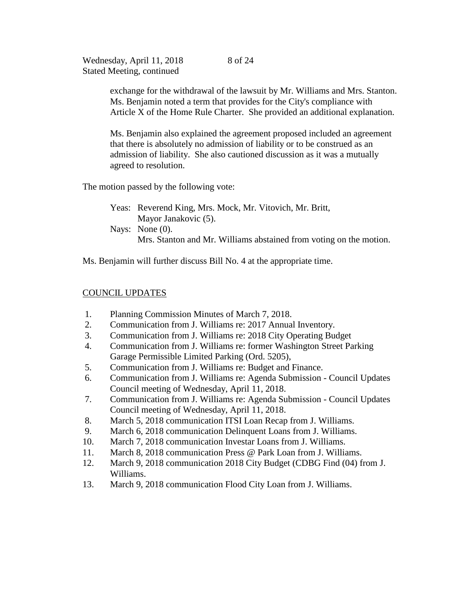8 of 24

exchange for the withdrawal of the lawsuit by Mr. Williams and Mrs. Stanton. Ms. Benjamin noted a term that provides for the City's compliance with Article X of the Home Rule Charter. She provided an additional explanation.

Ms. Benjamin also explained the agreement proposed included an agreement that there is absolutely no admission of liability or to be construed as an admission of liability. She also cautioned discussion as it was a mutually agreed to resolution.

The motion passed by the following vote:

Yeas: Reverend King, Mrs. Mock, Mr. Vitovich, Mr. Britt, Mayor Janakovic (5). Nays: None  $(0)$ . Mrs. Stanton and Mr. Williams abstained from voting on the motion.

Ms. Benjamin will further discuss Bill No. 4 at the appropriate time.

# COUNCIL UPDATES

- 1. Planning Commission Minutes of March 7, 2018.
- 2. Communication from J. Williams re: 2017 Annual Inventory.
- 3. Communication from J. Williams re: 2018 City Operating Budget
- 4. Communication from J. Williams re: former Washington Street Parking Garage Permissible Limited Parking (Ord. 5205),
- 5. Communication from J. Williams re: Budget and Finance.
- 6. Communication from J. Williams re: Agenda Submission Council Updates Council meeting of Wednesday, April 11, 2018.
- 7. Communication from J. Williams re: Agenda Submission Council Updates Council meeting of Wednesday, April 11, 2018.
- 8. March 5, 2018 communication ITSI Loan Recap from J. Williams.
- 9. March 6, 2018 communication Delinquent Loans from J. Williams.
- 10. March 7, 2018 communication Investar Loans from J. Williams.
- 11. March 8, 2018 communication Press @ Park Loan from J. Williams.
- 12. March 9, 2018 communication 2018 City Budget (CDBG Find (04) from J. Williams.
- 13. March 9, 2018 communication Flood City Loan from J. Williams.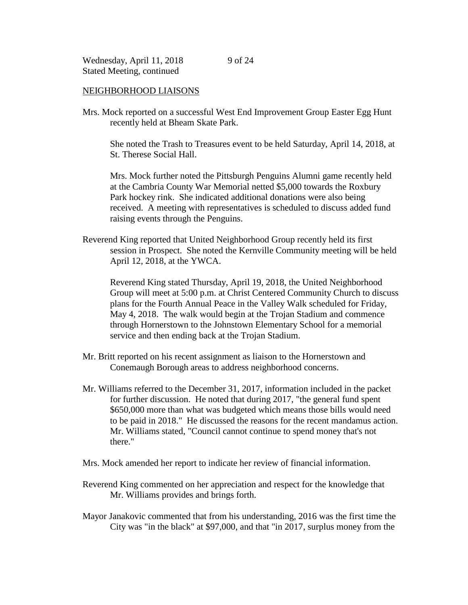#### NEIGHBORHOOD LIAISONS

Mrs. Mock reported on a successful West End Improvement Group Easter Egg Hunt recently held at Bheam Skate Park.

She noted the Trash to Treasures event to be held Saturday, April 14, 2018, at St. Therese Social Hall.

Mrs. Mock further noted the Pittsburgh Penguins Alumni game recently held at the Cambria County War Memorial netted \$5,000 towards the Roxbury Park hockey rink. She indicated additional donations were also being received. A meeting with representatives is scheduled to discuss added fund raising events through the Penguins.

Reverend King reported that United Neighborhood Group recently held its first session in Prospect. She noted the Kernville Community meeting will be held April 12, 2018, at the YWCA.

Reverend King stated Thursday, April 19, 2018, the United Neighborhood Group will meet at 5:00 p.m. at Christ Centered Community Church to discuss plans for the Fourth Annual Peace in the Valley Walk scheduled for Friday, May 4, 2018. The walk would begin at the Trojan Stadium and commence through Hornerstown to the Johnstown Elementary School for a memorial service and then ending back at the Trojan Stadium.

- Mr. Britt reported on his recent assignment as liaison to the Hornerstown and Conemaugh Borough areas to address neighborhood concerns.
- Mr. Williams referred to the December 31, 2017, information included in the packet for further discussion. He noted that during 2017, "the general fund spent \$650,000 more than what was budgeted which means those bills would need to be paid in 2018." He discussed the reasons for the recent mandamus action. Mr. Williams stated, "Council cannot continue to spend money that's not there."
- Mrs. Mock amended her report to indicate her review of financial information.
- Reverend King commented on her appreciation and respect for the knowledge that Mr. Williams provides and brings forth.
- Mayor Janakovic commented that from his understanding, 2016 was the first time the City was "in the black" at \$97,000, and that "in 2017, surplus money from the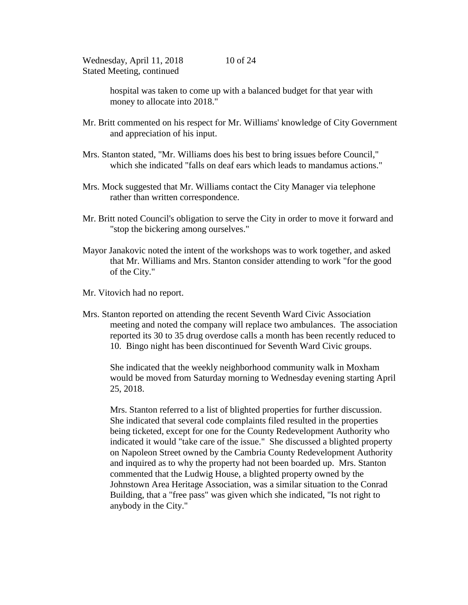hospital was taken to come up with a balanced budget for that year with money to allocate into 2018."

- Mr. Britt commented on his respect for Mr. Williams' knowledge of City Government and appreciation of his input.
- Mrs. Stanton stated, "Mr. Williams does his best to bring issues before Council," which she indicated "falls on deaf ears which leads to mandamus actions."
- Mrs. Mock suggested that Mr. Williams contact the City Manager via telephone rather than written correspondence.
- Mr. Britt noted Council's obligation to serve the City in order to move it forward and "stop the bickering among ourselves."
- Mayor Janakovic noted the intent of the workshops was to work together, and asked that Mr. Williams and Mrs. Stanton consider attending to work "for the good of the City."
- Mr. Vitovich had no report.
- Mrs. Stanton reported on attending the recent Seventh Ward Civic Association meeting and noted the company will replace two ambulances. The association reported its 30 to 35 drug overdose calls a month has been recently reduced to 10. Bingo night has been discontinued for Seventh Ward Civic groups.

She indicated that the weekly neighborhood community walk in Moxham would be moved from Saturday morning to Wednesday evening starting April 25, 2018.

Mrs. Stanton referred to a list of blighted properties for further discussion. She indicated that several code complaints filed resulted in the properties being ticketed, except for one for the County Redevelopment Authority who indicated it would "take care of the issue." She discussed a blighted property on Napoleon Street owned by the Cambria County Redevelopment Authority and inquired as to why the property had not been boarded up. Mrs. Stanton commented that the Ludwig House, a blighted property owned by the Johnstown Area Heritage Association, was a similar situation to the Conrad Building, that a "free pass" was given which she indicated, "Is not right to anybody in the City."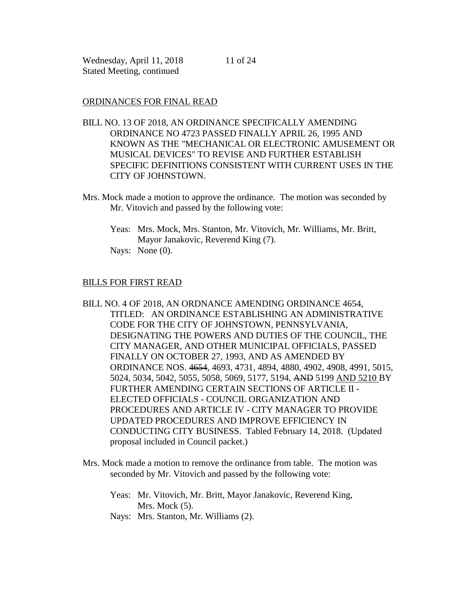## ORDINANCES FOR FINAL READ

- BILL NO. 13 OF 2018, AN ORDINANCE SPECIFICALLY AMENDING ORDINANCE NO 4723 PASSED FINALLY APRIL 26, 1995 AND KNOWN AS THE "MECHANICAL OR ELECTRONIC AMUSEMENT OR MUSICAL DEVICES" TO REVISE AND FURTHER ESTABLISH SPECIFIC DEFINITIONS CONSISTENT WITH CURRENT USES IN THE CITY OF JOHNSTOWN.
- Mrs. Mock made a motion to approve the ordinance. The motion was seconded by Mr. Vitovich and passed by the following vote:
	- Yeas: Mrs. Mock, Mrs. Stanton, Mr. Vitovich, Mr. Williams, Mr. Britt, Mayor Janakovic, Reverend King (7). Nays: None (0).

### BILLS FOR FIRST READ

- BILL NO. 4 OF 2018, AN ORDNANCE AMENDING ORDINANCE 4654, TITLED: AN ORDINANCE ESTABLISHING AN ADMINISTRATIVE CODE FOR THE CITY OF JOHNSTOWN, PENNSYLVANIA, DESIGNATING THE POWERS AND DUTIES OF THE COUNCIL, THE CITY MANAGER, AND OTHER MUNICIPAL OFFICIALS, PASSED FINALLY ON OCTOBER 27, 1993, AND AS AMENDED BY ORDINANCE NOS. 4654, 4693, 4731, 4894, 4880, 4902, 4908, 4991, 5015, 5024, 5034, 5042, 5055, 5058, 5069, 5177, 5194, AND 5199 AND 5210 BY FURTHER AMENDING CERTAIN SECTIONS OF ARTICLE II - ELECTED OFFICIALS - COUNCIL ORGANIZATION AND PROCEDURES AND ARTICLE IV - CITY MANAGER TO PROVIDE UPDATED PROCEDURES AND IMPROVE EFFICIENCY IN CONDUCTING CITY BUSINESS. Tabled February 14, 2018. (Updated proposal included in Council packet.)
- Mrs. Mock made a motion to remove the ordinance from table. The motion was seconded by Mr. Vitovich and passed by the following vote:
	- Yeas: Mr. Vitovich, Mr. Britt, Mayor Janakovic, Reverend King, Mrs. Mock  $(5)$ .
	- Nays: Mrs. Stanton, Mr. Williams (2).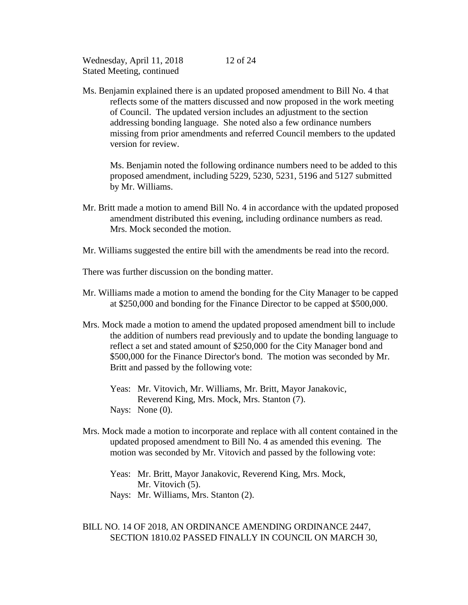Ms. Benjamin explained there is an updated proposed amendment to Bill No. 4 that reflects some of the matters discussed and now proposed in the work meeting of Council. The updated version includes an adjustment to the section addressing bonding language. She noted also a few ordinance numbers missing from prior amendments and referred Council members to the updated version for review.

12 of 24

Ms. Benjamin noted the following ordinance numbers need to be added to this proposed amendment, including 5229, 5230, 5231, 5196 and 5127 submitted by Mr. Williams.

- Mr. Britt made a motion to amend Bill No. 4 in accordance with the updated proposed amendment distributed this evening, including ordinance numbers as read. Mrs. Mock seconded the motion.
- Mr. Williams suggested the entire bill with the amendments be read into the record.
- There was further discussion on the bonding matter.
- Mr. Williams made a motion to amend the bonding for the City Manager to be capped at \$250,000 and bonding for the Finance Director to be capped at \$500,000.
- Mrs. Mock made a motion to amend the updated proposed amendment bill to include the addition of numbers read previously and to update the bonding language to reflect a set and stated amount of \$250,000 for the City Manager bond and \$500,000 for the Finance Director's bond. The motion was seconded by Mr. Britt and passed by the following vote:
	- Yeas: Mr. Vitovich, Mr. Williams, Mr. Britt, Mayor Janakovic, Reverend King, Mrs. Mock, Mrs. Stanton (7). Nays: None  $(0)$ .
- Mrs. Mock made a motion to incorporate and replace with all content contained in the updated proposed amendment to Bill No. 4 as amended this evening. The motion was seconded by Mr. Vitovich and passed by the following vote:

Yeas: Mr. Britt, Mayor Janakovic, Reverend King, Mrs. Mock, Mr. Vitovich  $(5)$ . Nays: Mr. Williams, Mrs. Stanton (2).

## BILL NO. 14 OF 2018, AN ORDINANCE AMENDING ORDINANCE 2447, SECTION 1810.02 PASSED FINALLY IN COUNCIL ON MARCH 30,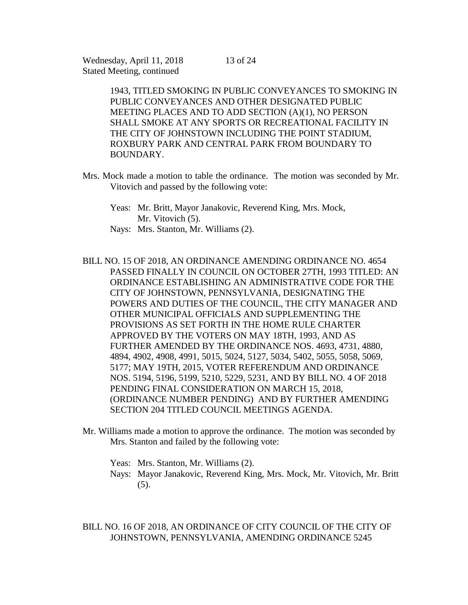> 1943, TITLED SMOKING IN PUBLIC CONVEYANCES TO SMOKING IN PUBLIC CONVEYANCES AND OTHER DESIGNATED PUBLIC MEETING PLACES AND TO ADD SECTION (A)(1), NO PERSON SHALL SMOKE AT ANY SPORTS OR RECREATIONAL FACILITY IN THE CITY OF JOHNSTOWN INCLUDING THE POINT STADIUM, ROXBURY PARK AND CENTRAL PARK FROM BOUNDARY TO BOUNDARY.

- Mrs. Mock made a motion to table the ordinance. The motion was seconded by Mr. Vitovich and passed by the following vote:
	- Yeas: Mr. Britt, Mayor Janakovic, Reverend King, Mrs. Mock, Mr. Vitovich (5).
	- Nays: Mrs. Stanton, Mr. Williams (2).

BILL NO. 15 OF 2018, AN ORDINANCE AMENDING ORDINANCE NO. 4654 PASSED FINALLY IN COUNCIL ON OCTOBER 27TH, 1993 TITLED: AN ORDINANCE ESTABLISHING AN ADMINISTRATIVE CODE FOR THE CITY OF JOHNSTOWN, PENNSYLVANIA, DESIGNATING THE POWERS AND DUTIES OF THE COUNCIL, THE CITY MANAGER AND OTHER MUNICIPAL OFFICIALS AND SUPPLEMENTING THE PROVISIONS AS SET FORTH IN THE HOME RULE CHARTER APPROVED BY THE VOTERS ON MAY 18TH, 1993, AND AS FURTHER AMENDED BY THE ORDINANCE NOS. 4693, 4731, 4880, 4894, 4902, 4908, 4991, 5015, 5024, 5127, 5034, 5402, 5055, 5058, 5069, 5177; MAY 19TH, 2015, VOTER REFERENDUM AND ORDINANCE NOS. 5194, 5196, 5199, 5210, 5229, 5231, AND BY BILL NO. 4 OF 2018 PENDING FINAL CONSIDERATION ON MARCH 15, 2018, (ORDINANCE NUMBER PENDING) AND BY FURTHER AMENDING SECTION 204 TITLED COUNCIL MEETINGS AGENDA.

Mr. Williams made a motion to approve the ordinance. The motion was seconded by Mrs. Stanton and failed by the following vote:

Yeas: Mrs. Stanton, Mr. Williams (2). Nays: Mayor Janakovic, Reverend King, Mrs. Mock, Mr. Vitovich, Mr. Britt (5).

BILL NO. 16 OF 2018, AN ORDINANCE OF CITY COUNCIL OF THE CITY OF JOHNSTOWN, PENNSYLVANIA, AMENDING ORDINANCE 5245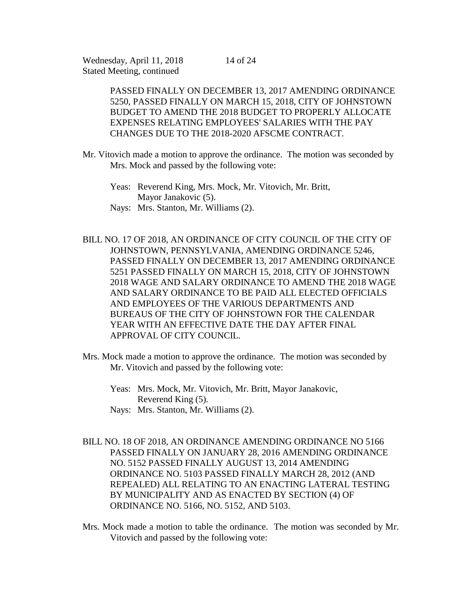14 of 24

PASSED FINALLY ON DECEMBER 13, 2017 AMENDING ORDINANCE 5250, PASSED FINALLY ON MARCH 15, 2018, CITY OF JOHNSTOWN BUDGET TO AMEND THE 2018 BUDGET TO PROPERLY ALLOCATE EXPENSES RELATING EMPLOYEES' SALARIES WITH THE PAY CHANGES DUE TO THE 2018-2020 AFSCME CONTRACT.

- Mr. Vitovich made a motion to approve the ordinance. The motion was seconded by Mrs. Mock and passed by the following vote:
	- Yeas: Reverend King, Mrs. Mock, Mr. Vitovich, Mr. Britt, Mayor Janakovic (5). Nays: Mrs. Stanton, Mr. Williams (2).
- BILL NO. 17 OF 2018, AN ORDINANCE OF CITY COUNCIL OF THE CITY OF JOHNSTOWN, PENNSYLVANIA, AMENDING ORDINANCE 5246, PASSED FINALLY ON DECEMBER 13, 2017 AMENDING ORDINANCE 5251 PASSED FINALLY ON MARCH 15, 2018, CITY OF JOHNSTOWN 2018 WAGE AND SALARY ORDINANCE TO AMEND THE 2018 WAGE AND SALARY ORDINANCE TO BE PAID ALL ELECTED OFFICIALS AND EMPLOYEES OF THE VARIOUS DEPARTMENTS AND BUREAUS OF THE CITY OF JOHNSTOWN FOR THE CALENDAR YEAR WITH AN EFFECTIVE DATE THE DAY AFTER FINAL APPROVAL OF CITY COUNCIL.
- Mrs. Mock made a motion to approve the ordinance. The motion was seconded by Mr. Vitovich and passed by the following vote:
	- Yeas: Mrs. Mock, Mr. Vitovich, Mr. Britt, Mayor Janakovic, Reverend King (5). Nays: Mrs. Stanton, Mr. Williams (2).
- BILL NO. 18 OF 2018, AN ORDINANCE AMENDING ORDINANCE NO 5166 PASSED FINALLY ON JANUARY 28, 2016 AMENDING ORDINANCE NO. 5152 PASSED FINALLY AUGUST 13, 2014 AMENDING ORDINANCE NO. 5103 PASSED FINALLY MARCH 28, 2012 (AND REPEALED) ALL RELATING TO AN ENACTING LATERAL TESTING BY MUNICIPALITY AND AS ENACTED BY SECTION (4) OF ORDINANCE NO. 5166, NO. 5152, AND 5103.
- Mrs. Mock made a motion to table the ordinance. The motion was seconded by Mr. Vitovich and passed by the following vote: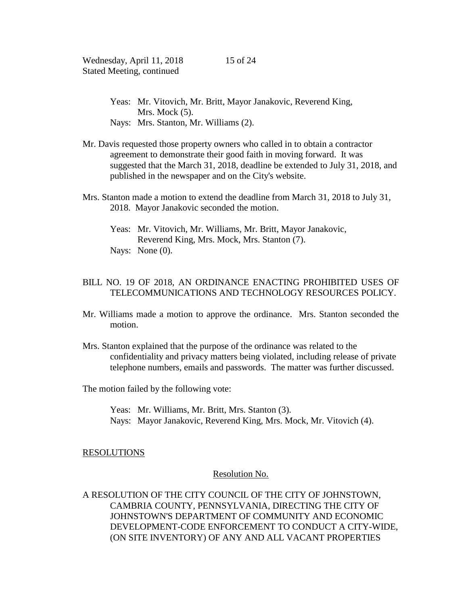- Yeas: Mr. Vitovich, Mr. Britt, Mayor Janakovic, Reverend King, Mrs. Mock  $(5)$ . Nays: Mrs. Stanton, Mr. Williams (2).
- Mr. Davis requested those property owners who called in to obtain a contractor agreement to demonstrate their good faith in moving forward. It was suggested that the March 31, 2018, deadline be extended to July 31, 2018, and published in the newspaper and on the City's website.
- Mrs. Stanton made a motion to extend the deadline from March 31, 2018 to July 31, 2018. Mayor Janakovic seconded the motion.
	- Yeas: Mr. Vitovich, Mr. Williams, Mr. Britt, Mayor Janakovic, Reverend King, Mrs. Mock, Mrs. Stanton (7). Nays: None (0).

# BILL NO. 19 OF 2018, AN ORDINANCE ENACTING PROHIBITED USES OF TELECOMMUNICATIONS AND TECHNOLOGY RESOURCES POLICY.

- Mr. Williams made a motion to approve the ordinance. Mrs. Stanton seconded the motion.
- Mrs. Stanton explained that the purpose of the ordinance was related to the confidentiality and privacy matters being violated, including release of private telephone numbers, emails and passwords. The matter was further discussed.

The motion failed by the following vote:

Yeas: Mr. Williams, Mr. Britt, Mrs. Stanton (3). Nays: Mayor Janakovic, Reverend King, Mrs. Mock, Mr. Vitovich (4).

### RESOLUTIONS

### Resolution No.

A RESOLUTION OF THE CITY COUNCIL OF THE CITY OF JOHNSTOWN, CAMBRIA COUNTY, PENNSYLVANIA, DIRECTING THE CITY OF JOHNSTOWN'S DEPARTMENT OF COMMUNITY AND ECONOMIC DEVELOPMENT-CODE ENFORCEMENT TO CONDUCT A CITY-WIDE, (ON SITE INVENTORY) OF ANY AND ALL VACANT PROPERTIES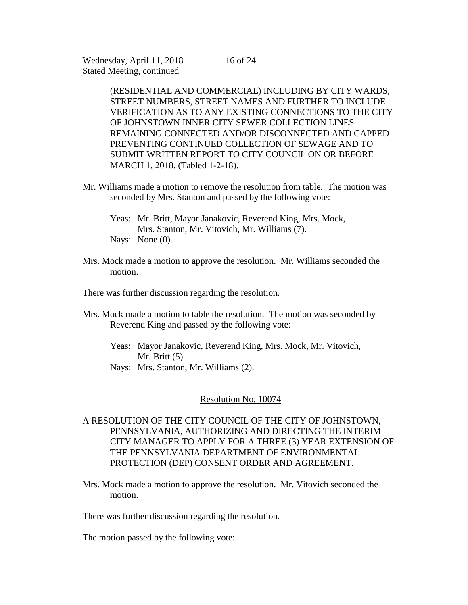(RESIDENTIAL AND COMMERCIAL) INCLUDING BY CITY WARDS, STREET NUMBERS, STREET NAMES AND FURTHER TO INCLUDE VERIFICATION AS TO ANY EXISTING CONNECTIONS TO THE CITY OF JOHNSTOWN INNER CITY SEWER COLLECTION LINES REMAINING CONNECTED AND/OR DISCONNECTED AND CAPPED PREVENTING CONTINUED COLLECTION OF SEWAGE AND TO SUBMIT WRITTEN REPORT TO CITY COUNCIL ON OR BEFORE MARCH 1, 2018. (Tabled 1-2-18).

- Mr. Williams made a motion to remove the resolution from table. The motion was seconded by Mrs. Stanton and passed by the following vote:
	- Yeas: Mr. Britt, Mayor Janakovic, Reverend King, Mrs. Mock, Mrs. Stanton, Mr. Vitovich, Mr. Williams (7). Nays: None (0).
- Mrs. Mock made a motion to approve the resolution. Mr. Williams seconded the motion.

There was further discussion regarding the resolution.

- Mrs. Mock made a motion to table the resolution. The motion was seconded by Reverend King and passed by the following vote:
	- Yeas: Mayor Janakovic, Reverend King, Mrs. Mock, Mr. Vitovich, Mr. Britt (5).
	- Nays: Mrs. Stanton, Mr. Williams (2).

#### Resolution No. 10074

- A RESOLUTION OF THE CITY COUNCIL OF THE CITY OF JOHNSTOWN, PENNSYLVANIA, AUTHORIZING AND DIRECTING THE INTERIM CITY MANAGER TO APPLY FOR A THREE (3) YEAR EXTENSION OF THE PENNSYLVANIA DEPARTMENT OF ENVIRONMENTAL PROTECTION (DEP) CONSENT ORDER AND AGREEMENT.
- Mrs. Mock made a motion to approve the resolution. Mr. Vitovich seconded the motion.

There was further discussion regarding the resolution.

The motion passed by the following vote: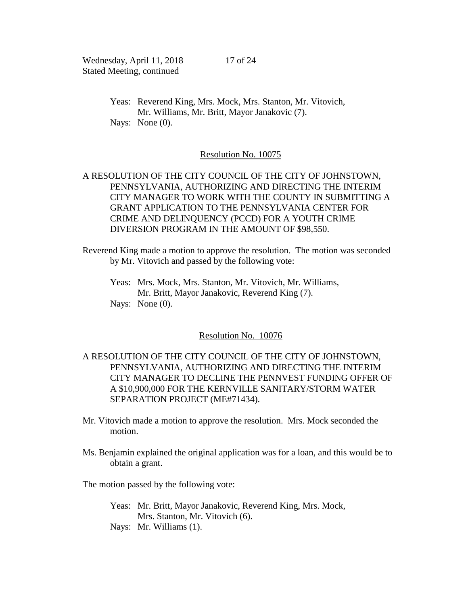Yeas: Reverend King, Mrs. Mock, Mrs. Stanton, Mr. Vitovich, Mr. Williams, Mr. Britt, Mayor Janakovic (7). Nays: None  $(0)$ .

### Resolution No. 10075

# A RESOLUTION OF THE CITY COUNCIL OF THE CITY OF JOHNSTOWN, PENNSYLVANIA, AUTHORIZING AND DIRECTING THE INTERIM CITY MANAGER TO WORK WITH THE COUNTY IN SUBMITTING A GRANT APPLICATION TO THE PENNSYLVANIA CENTER FOR CRIME AND DELINQUENCY (PCCD) FOR A YOUTH CRIME DIVERSION PROGRAM IN THE AMOUNT OF \$98,550.

Reverend King made a motion to approve the resolution. The motion was seconded by Mr. Vitovich and passed by the following vote:

Yeas: Mrs. Mock, Mrs. Stanton, Mr. Vitovich, Mr. Williams, Mr. Britt, Mayor Janakovic, Reverend King (7). Nays: None  $(0)$ .

### Resolution No. 10076

A RESOLUTION OF THE CITY COUNCIL OF THE CITY OF JOHNSTOWN, PENNSYLVANIA, AUTHORIZING AND DIRECTING THE INTERIM CITY MANAGER TO DECLINE THE PENNVEST FUNDING OFFER OF A \$10,900,000 FOR THE KERNVILLE SANITARY/STORM WATER SEPARATION PROJECT (ME#71434).

- Mr. Vitovich made a motion to approve the resolution. Mrs. Mock seconded the motion.
- Ms. Benjamin explained the original application was for a loan, and this would be to obtain a grant.

The motion passed by the following vote:

- Yeas: Mr. Britt, Mayor Janakovic, Reverend King, Mrs. Mock, Mrs. Stanton, Mr. Vitovich (6).
- Nays: Mr. Williams (1).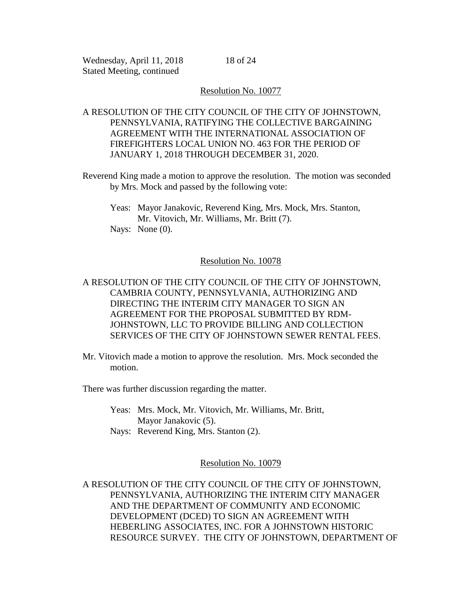18 of 24

## Resolution No. 10077

# A RESOLUTION OF THE CITY COUNCIL OF THE CITY OF JOHNSTOWN, PENNSYLVANIA, RATIFYING THE COLLECTIVE BARGAINING AGREEMENT WITH THE INTERNATIONAL ASSOCIATION OF FIREFIGHTERS LOCAL UNION NO. 463 FOR THE PERIOD OF JANUARY 1, 2018 THROUGH DECEMBER 31, 2020.

Reverend King made a motion to approve the resolution. The motion was seconded by Mrs. Mock and passed by the following vote:

Yeas: Mayor Janakovic, Reverend King, Mrs. Mock, Mrs. Stanton, Mr. Vitovich, Mr. Williams, Mr. Britt (7). Nays: None (0).

## Resolution No. 10078

A RESOLUTION OF THE CITY COUNCIL OF THE CITY OF JOHNSTOWN, CAMBRIA COUNTY, PENNSYLVANIA, AUTHORIZING AND DIRECTING THE INTERIM CITY MANAGER TO SIGN AN AGREEMENT FOR THE PROPOSAL SUBMITTED BY RDM-JOHNSTOWN, LLC TO PROVIDE BILLING AND COLLECTION SERVICES OF THE CITY OF JOHNSTOWN SEWER RENTAL FEES.

Mr. Vitovich made a motion to approve the resolution. Mrs. Mock seconded the motion.

There was further discussion regarding the matter.

Yeas: Mrs. Mock, Mr. Vitovich, Mr. Williams, Mr. Britt, Mayor Janakovic (5).

Nays: Reverend King, Mrs. Stanton (2).

Resolution No. 10079

A RESOLUTION OF THE CITY COUNCIL OF THE CITY OF JOHNSTOWN, PENNSYLVANIA, AUTHORIZING THE INTERIM CITY MANAGER AND THE DEPARTMENT OF COMMUNITY AND ECONOMIC DEVELOPMENT (DCED) TO SIGN AN AGREEMENT WITH HEBERLING ASSOCIATES, INC. FOR A JOHNSTOWN HISTORIC RESOURCE SURVEY. THE CITY OF JOHNSTOWN, DEPARTMENT OF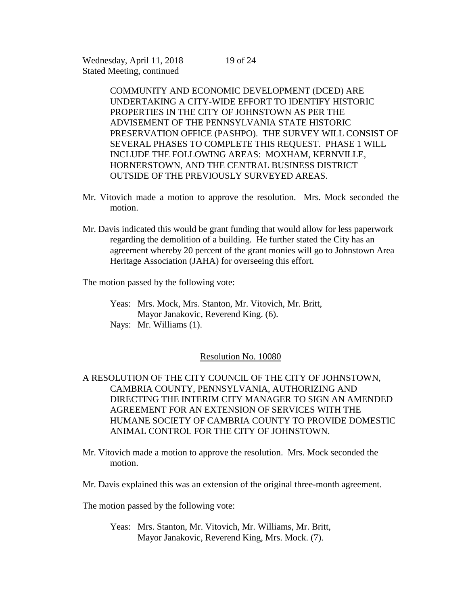19 of 24

COMMUNITY AND ECONOMIC DEVELOPMENT (DCED) ARE UNDERTAKING A CITY-WIDE EFFORT TO IDENTIFY HISTORIC PROPERTIES IN THE CITY OF JOHNSTOWN AS PER THE ADVISEMENT OF THE PENNSYLVANIA STATE HISTORIC PRESERVATION OFFICE (PASHPO). THE SURVEY WILL CONSIST OF SEVERAL PHASES TO COMPLETE THIS REQUEST. PHASE 1 WILL INCLUDE THE FOLLOWING AREAS: MOXHAM, KERNVILLE, HORNERSTOWN, AND THE CENTRAL BUSINESS DISTRICT OUTSIDE OF THE PREVIOUSLY SURVEYED AREAS.

- Mr. Vitovich made a motion to approve the resolution. Mrs. Mock seconded the motion.
- Mr. Davis indicated this would be grant funding that would allow for less paperwork regarding the demolition of a building. He further stated the City has an agreement whereby 20 percent of the grant monies will go to Johnstown Area Heritage Association (JAHA) for overseeing this effort.

The motion passed by the following vote:

Yeas: Mrs. Mock, Mrs. Stanton, Mr. Vitovich, Mr. Britt, Mayor Janakovic, Reverend King. (6). Nays: Mr. Williams (1).

### Resolution No. 10080

# A RESOLUTION OF THE CITY COUNCIL OF THE CITY OF JOHNSTOWN, CAMBRIA COUNTY, PENNSYLVANIA, AUTHORIZING AND DIRECTING THE INTERIM CITY MANAGER TO SIGN AN AMENDED AGREEMENT FOR AN EXTENSION OF SERVICES WITH THE HUMANE SOCIETY OF CAMBRIA COUNTY TO PROVIDE DOMESTIC ANIMAL CONTROL FOR THE CITY OF JOHNSTOWN.

- Mr. Vitovich made a motion to approve the resolution. Mrs. Mock seconded the motion.
- Mr. Davis explained this was an extension of the original three-month agreement.

The motion passed by the following vote:

Yeas: Mrs. Stanton, Mr. Vitovich, Mr. Williams, Mr. Britt, Mayor Janakovic, Reverend King, Mrs. Mock. (7).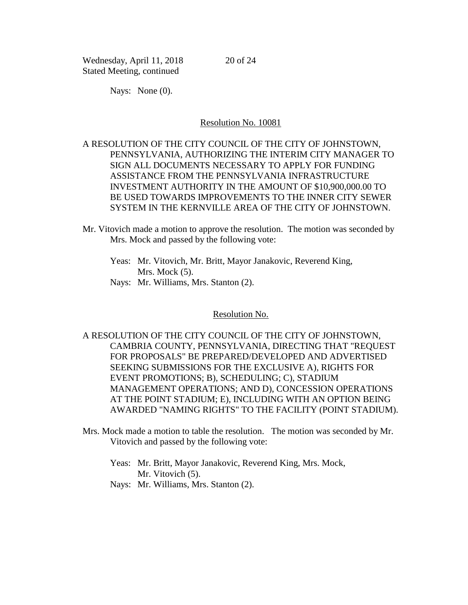20 of 24

Nays: None  $(0)$ .

#### Resolution No. 10081

# A RESOLUTION OF THE CITY COUNCIL OF THE CITY OF JOHNSTOWN, PENNSYLVANIA, AUTHORIZING THE INTERIM CITY MANAGER TO SIGN ALL DOCUMENTS NECESSARY TO APPLY FOR FUNDING ASSISTANCE FROM THE PENNSYLVANIA INFRASTRUCTURE INVESTMENT AUTHORITY IN THE AMOUNT OF \$10,900,000.00 TO BE USED TOWARDS IMPROVEMENTS TO THE INNER CITY SEWER SYSTEM IN THE KERNVILLE AREA OF THE CITY OF JOHNSTOWN.

- Mr. Vitovich made a motion to approve the resolution. The motion was seconded by Mrs. Mock and passed by the following vote:
	- Yeas: Mr. Vitovich, Mr. Britt, Mayor Janakovic, Reverend King, Mrs. Mock  $(5)$ .
	- Nays: Mr. Williams, Mrs. Stanton (2).

#### Resolution No.

A RESOLUTION OF THE CITY COUNCIL OF THE CITY OF JOHNSTOWN, CAMBRIA COUNTY, PENNSYLVANIA, DIRECTING THAT "REQUEST FOR PROPOSALS" BE PREPARED/DEVELOPED AND ADVERTISED SEEKING SUBMISSIONS FOR THE EXCLUSIVE A), RIGHTS FOR EVENT PROMOTIONS; B), SCHEDULING; C), STADIUM MANAGEMENT OPERATIONS; AND D), CONCESSION OPERATIONS AT THE POINT STADIUM; E), INCLUDING WITH AN OPTION BEING AWARDED "NAMING RIGHTS" TO THE FACILITY (POINT STADIUM).

- Mrs. Mock made a motion to table the resolution. The motion was seconded by Mr. Vitovich and passed by the following vote:
	- Yeas: Mr. Britt, Mayor Janakovic, Reverend King, Mrs. Mock, Mr. Vitovich (5).
	- Nays: Mr. Williams, Mrs. Stanton (2).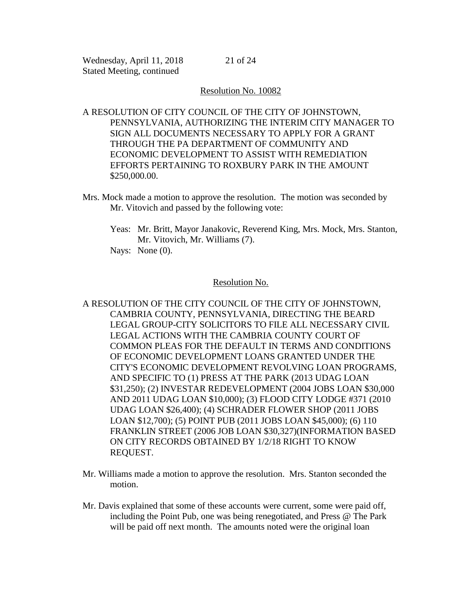### Resolution No. 10082

A RESOLUTION OF CITY COUNCIL OF THE CITY OF JOHNSTOWN, PENNSYLVANIA, AUTHORIZING THE INTERIM CITY MANAGER TO SIGN ALL DOCUMENTS NECESSARY TO APPLY FOR A GRANT THROUGH THE PA DEPARTMENT OF COMMUNITY AND ECONOMIC DEVELOPMENT TO ASSIST WITH REMEDIATION EFFORTS PERTAINING TO ROXBURY PARK IN THE AMOUNT \$250,000.00.

- Mrs. Mock made a motion to approve the resolution. The motion was seconded by Mr. Vitovich and passed by the following vote:
	- Yeas: Mr. Britt, Mayor Janakovic, Reverend King, Mrs. Mock, Mrs. Stanton, Mr. Vitovich, Mr. Williams (7).

Nays: None (0).

### Resolution No.

- A RESOLUTION OF THE CITY COUNCIL OF THE CITY OF JOHNSTOWN, CAMBRIA COUNTY, PENNSYLVANIA, DIRECTING THE BEARD LEGAL GROUP-CITY SOLICITORS TO FILE ALL NECESSARY CIVIL LEGAL ACTIONS WITH THE CAMBRIA COUNTY COURT OF COMMON PLEAS FOR THE DEFAULT IN TERMS AND CONDITIONS OF ECONOMIC DEVELOPMENT LOANS GRANTED UNDER THE CITY'S ECONOMIC DEVELOPMENT REVOLVING LOAN PROGRAMS, AND SPECIFIC TO (1) PRESS AT THE PARK (2013 UDAG LOAN \$31,250); (2) INVESTAR REDEVELOPMENT (2004 JOBS LOAN \$30,000 AND 2011 UDAG LOAN \$10,000); (3) FLOOD CITY LODGE #371 (2010 UDAG LOAN \$26,400); (4) SCHRADER FLOWER SHOP (2011 JOBS LOAN \$12,700); (5) POINT PUB (2011 JOBS LOAN \$45,000); (6) 110 FRANKLIN STREET (2006 JOB LOAN \$30,327)(INFORMATION BASED ON CITY RECORDS OBTAINED BY 1/2/18 RIGHT TO KNOW REQUEST.
- Mr. Williams made a motion to approve the resolution. Mrs. Stanton seconded the motion.
- Mr. Davis explained that some of these accounts were current, some were paid off, including the Point Pub, one was being renegotiated, and Press @ The Park will be paid off next month. The amounts noted were the original loan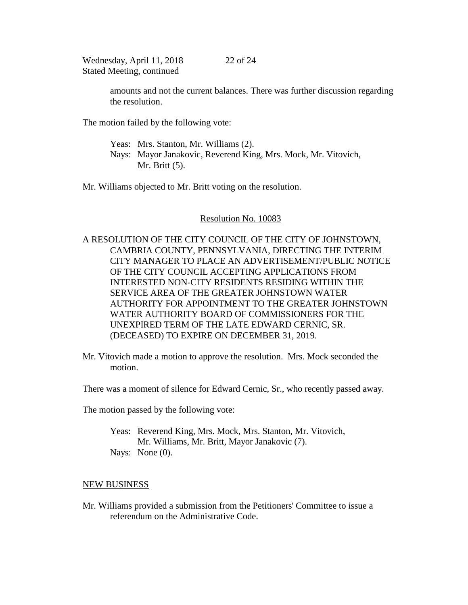> amounts and not the current balances. There was further discussion regarding the resolution.

22 of 24

The motion failed by the following vote:

Yeas: Mrs. Stanton, Mr. Williams (2). Nays: Mayor Janakovic, Reverend King, Mrs. Mock, Mr. Vitovich, Mr. Britt (5).

Mr. Williams objected to Mr. Britt voting on the resolution.

## Resolution No. 10083

- A RESOLUTION OF THE CITY COUNCIL OF THE CITY OF JOHNSTOWN, CAMBRIA COUNTY, PENNSYLVANIA, DIRECTING THE INTERIM CITY MANAGER TO PLACE AN ADVERTISEMENT/PUBLIC NOTICE OF THE CITY COUNCIL ACCEPTING APPLICATIONS FROM INTERESTED NON-CITY RESIDENTS RESIDING WITHIN THE SERVICE AREA OF THE GREATER JOHNSTOWN WATER AUTHORITY FOR APPOINTMENT TO THE GREATER JOHNSTOWN WATER AUTHORITY BOARD OF COMMISSIONERS FOR THE UNEXPIRED TERM OF THE LATE EDWARD CERNIC, SR. (DECEASED) TO EXPIRE ON DECEMBER 31, 2019.
- Mr. Vitovich made a motion to approve the resolution. Mrs. Mock seconded the motion.

There was a moment of silence for Edward Cernic, Sr., who recently passed away.

The motion passed by the following vote:

Yeas: Reverend King, Mrs. Mock, Mrs. Stanton, Mr. Vitovich, Mr. Williams, Mr. Britt, Mayor Janakovic (7). Nays: None  $(0)$ .

### NEW BUSINESS

Mr. Williams provided a submission from the Petitioners' Committee to issue a referendum on the Administrative Code.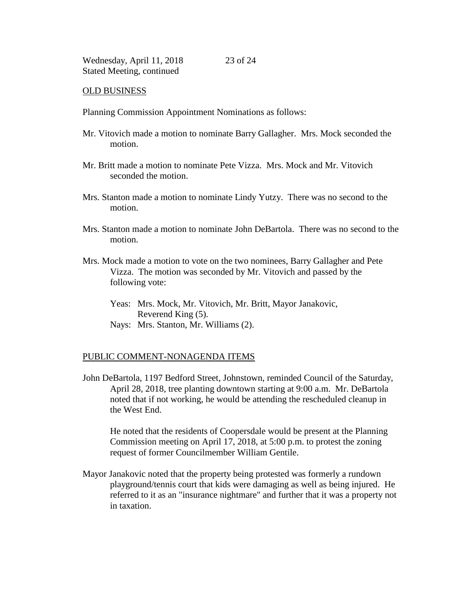#### OLD BUSINESS

Planning Commission Appointment Nominations as follows:

Mr. Vitovich made a motion to nominate Barry Gallagher. Mrs. Mock seconded the motion.

23 of 24

- Mr. Britt made a motion to nominate Pete Vizza. Mrs. Mock and Mr. Vitovich seconded the motion.
- Mrs. Stanton made a motion to nominate Lindy Yutzy. There was no second to the motion.
- Mrs. Stanton made a motion to nominate John DeBartola. There was no second to the motion.
- Mrs. Mock made a motion to vote on the two nominees, Barry Gallagher and Pete Vizza. The motion was seconded by Mr. Vitovich and passed by the following vote:
	- Yeas: Mrs. Mock, Mr. Vitovich, Mr. Britt, Mayor Janakovic, Reverend King (5).
	- Nays: Mrs. Stanton, Mr. Williams (2).

### PUBLIC COMMENT-NONAGENDA ITEMS

John DeBartola, 1197 Bedford Street, Johnstown, reminded Council of the Saturday, April 28, 2018, tree planting downtown starting at 9:00 a.m. Mr. DeBartola noted that if not working, he would be attending the rescheduled cleanup in the West End.

He noted that the residents of Coopersdale would be present at the Planning Commission meeting on April 17, 2018, at 5:00 p.m. to protest the zoning request of former Councilmember William Gentile.

Mayor Janakovic noted that the property being protested was formerly a rundown playground/tennis court that kids were damaging as well as being injured. He referred to it as an "insurance nightmare" and further that it was a property not in taxation.